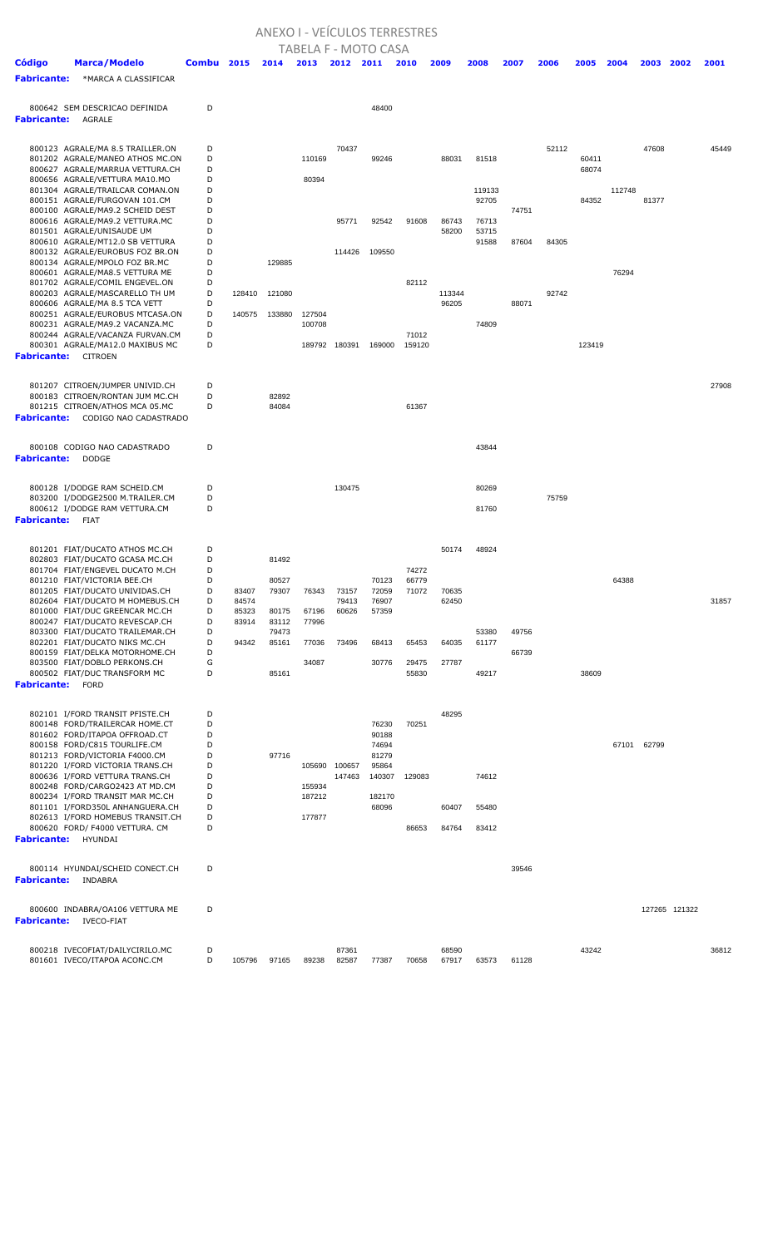## ANEXO I - VEÍCULOS TERRESTRES

| <b>TABELA F - MOTO CASA</b><br><b>Marca/Modelo</b><br><b>Combu</b> 2015<br>2014<br>2013<br>2012<br>2011<br>2010<br>2009<br>2008<br>2007<br>2006<br>2005<br>2004<br>2003<br>2002<br>2001 |        |        |                |        |                  |                 |        |                |                |       |       |        |        |       |               |       |
|-----------------------------------------------------------------------------------------------------------------------------------------------------------------------------------------|--------|--------|----------------|--------|------------------|-----------------|--------|----------------|----------------|-------|-------|--------|--------|-------|---------------|-------|
| <b>Código</b>                                                                                                                                                                           |        |        |                |        |                  |                 |        |                |                |       |       |        |        |       |               |       |
| <b>Fabricante:</b><br>*MARCA A CLASSIFICAR                                                                                                                                              |        |        |                |        |                  |                 |        |                |                |       |       |        |        |       |               |       |
|                                                                                                                                                                                         |        |        |                |        |                  |                 |        |                |                |       |       |        |        |       |               |       |
| 800642 SEM DESCRICAO DEFINIDA                                                                                                                                                           | D      |        |                |        |                  | 48400           |        |                |                |       |       |        |        |       |               |       |
| <b>Fabricante:</b><br><b>AGRALE</b>                                                                                                                                                     |        |        |                |        |                  |                 |        |                |                |       |       |        |        |       |               |       |
|                                                                                                                                                                                         |        |        |                |        |                  |                 |        |                |                |       |       |        |        |       |               |       |
| 800123 AGRALE/MA 8.5 TRAILLER.ON                                                                                                                                                        | D      |        |                |        | 70437            |                 |        |                |                |       | 52112 |        |        | 47608 |               | 45449 |
| 801202 AGRALE/MANEO ATHOS MC.ON                                                                                                                                                         | D      |        |                | 110169 |                  | 99246           |        | 88031          | 81518          |       |       | 60411  |        |       |               |       |
| 800627 AGRALE/MARRUA VETTURA.CH                                                                                                                                                         | D      |        |                |        |                  |                 |        |                |                |       |       | 68074  |        |       |               |       |
| 800656 AGRALE/VETTURA MA10.MO<br>801304 AGRALE/TRAILCAR COMAN.ON                                                                                                                        | D<br>D |        |                | 80394  |                  |                 |        |                | 119133         |       |       |        | 112748 |       |               |       |
| 800151 AGRALE/FURGOVAN 101.CM                                                                                                                                                           | D      |        |                |        |                  |                 |        |                | 92705          |       |       | 84352  |        | 81377 |               |       |
| 800100 AGRALE/MA9.2 SCHEID DEST                                                                                                                                                         | D      |        |                |        |                  |                 |        |                |                | 74751 |       |        |        |       |               |       |
| 800616 AGRALE/MA9.2 VETTURA.MC                                                                                                                                                          | D<br>D |        |                |        | 95771            | 92542           | 91608  | 86743          | 76713          |       |       |        |        |       |               |       |
| 801501 AGRALE/UNISAUDE UM<br>800610 AGRALE/MT12.0 SB VETTURA                                                                                                                            | D      |        |                |        |                  |                 |        | 58200          | 53715<br>91588 | 87604 | 84305 |        |        |       |               |       |
| 800132 AGRALE/EUROBUS FOZ BR.ON                                                                                                                                                         | D      |        |                |        | 114426           | 109550          |        |                |                |       |       |        |        |       |               |       |
| 800134 AGRALE/MPOLO FOZ BR.MC                                                                                                                                                           | D      |        | 129885         |        |                  |                 |        |                |                |       |       |        |        |       |               |       |
| 800601 AGRALE/MA8.5 VETTURA ME<br>801702 AGRALE/COMIL ENGEVEL.ON                                                                                                                        | D<br>D |        |                |        |                  |                 | 82112  |                |                |       |       |        | 76294  |       |               |       |
| 800203 AGRALE/MASCARELLO TH UM                                                                                                                                                          | D      | 128410 | 121080         |        |                  |                 |        | 113344         |                |       | 92742 |        |        |       |               |       |
| 800606 AGRALE/MA 8.5 TCA VETT                                                                                                                                                           | D      |        |                |        |                  |                 |        | 96205          |                | 88071 |       |        |        |       |               |       |
| 800251 AGRALE/EUROBUS MTCASA.ON                                                                                                                                                         | D      | 140575 | 133880         | 127504 |                  |                 |        |                |                |       |       |        |        |       |               |       |
| 800231 AGRALE/MA9.2 VACANZA.MC<br>800244 AGRALE/VACANZA FURVAN.CM                                                                                                                       | D<br>D |        |                | 100708 |                  |                 | 71012  |                | 74809          |       |       |        |        |       |               |       |
| 800301 AGRALE/MA12.0 MAXIBUS MC                                                                                                                                                         | D      |        |                | 189792 | 180391           | 169000          | 159120 |                |                |       |       | 123419 |        |       |               |       |
| <b>Fabricante:</b> CITROEN                                                                                                                                                              |        |        |                |        |                  |                 |        |                |                |       |       |        |        |       |               |       |
|                                                                                                                                                                                         |        |        |                |        |                  |                 |        |                |                |       |       |        |        |       |               |       |
| 801207 CITROEN/JUMPER UNIVID.CH                                                                                                                                                         | D      |        |                |        |                  |                 |        |                |                |       |       |        |        |       |               | 27908 |
| 800183 CITROEN/RONTAN JUM MC.CH                                                                                                                                                         | D      |        | 82892          |        |                  |                 |        |                |                |       |       |        |        |       |               |       |
| 801215 CITROEN/ATHOS MCA 05.MC                                                                                                                                                          | D      |        | 84084          |        |                  |                 | 61367  |                |                |       |       |        |        |       |               |       |
| <b>Fabricante:</b><br>CODIGO NAO CADASTRADO                                                                                                                                             |        |        |                |        |                  |                 |        |                |                |       |       |        |        |       |               |       |
|                                                                                                                                                                                         |        |        |                |        |                  |                 |        |                |                |       |       |        |        |       |               |       |
| 800108 CODIGO NAO CADASTRADO                                                                                                                                                            | D      |        |                |        |                  |                 |        |                | 43844          |       |       |        |        |       |               |       |
| <b>Fabricante:</b><br><b>DODGE</b>                                                                                                                                                      |        |        |                |        |                  |                 |        |                |                |       |       |        |        |       |               |       |
|                                                                                                                                                                                         |        |        |                |        |                  |                 |        |                |                |       |       |        |        |       |               |       |
| 800128 I/DODGE RAM SCHEID.CM                                                                                                                                                            | D      |        |                |        | 130475           |                 |        |                | 80269          |       |       |        |        |       |               |       |
| 803200 I/DODGE2500 M.TRAILER.CM<br>800612 I/DODGE RAM VETTURA.CM                                                                                                                        | D<br>D |        |                |        |                  |                 |        |                | 81760          |       | 75759 |        |        |       |               |       |
| <b>Fabricante:</b><br><b>FIAT</b>                                                                                                                                                       |        |        |                |        |                  |                 |        |                |                |       |       |        |        |       |               |       |
|                                                                                                                                                                                         |        |        |                |        |                  |                 |        |                |                |       |       |        |        |       |               |       |
| 801201 FIAT/DUCATO ATHOS MC.CH                                                                                                                                                          | D      |        |                |        |                  |                 |        | 50174          | 48924          |       |       |        |        |       |               |       |
| 802803 FIAT/DUCATO GCASA MC.CH                                                                                                                                                          | D      |        | 81492          |        |                  |                 |        |                |                |       |       |        |        |       |               |       |
| 801704 FIAT/ENGEVEL DUCATO M.CH                                                                                                                                                         | D      |        |                |        |                  |                 | 74272  |                |                |       |       |        |        |       |               |       |
| 801210 FIAT/VICTORIA BEE.CH                                                                                                                                                             | D<br>D | 83407  | 80527          |        |                  | 70123           | 66779  |                |                |       |       |        | 64388  |       |               |       |
| 801205 FIAT/DUCATO UNIVIDAS.CH<br>802604 FIAT/DUCATO M HOMEBUS.CH                                                                                                                       | D      | 84574  | 79307          | 76343  | 73157<br>79413   | 72059<br>76907  | 71072  | 70635<br>62450 |                |       |       |        |        |       |               | 31857 |
| 801000 FIAT/DUC GREENCAR MC.CH                                                                                                                                                          | D      | 85323  | 80175          | 67196  | 60626            | 57359           |        |                |                |       |       |        |        |       |               |       |
| 800247 FIAT/DUCATO REVESCAP.CH                                                                                                                                                          | D      | 83914  | 83112          | 77996  |                  |                 |        |                |                |       |       |        |        |       |               |       |
| 803300 FIAT/DUCATO TRAILEMAR.CH<br>802201 FIAT/DUCATO NIKS MC.CH                                                                                                                        | D<br>D | 94342  | 79473<br>85161 | 77036  | 73496            | 68413           | 65453  | 64035          | 53380<br>61177 | 49756 |       |        |        |       |               |       |
| 800159 FIAT/DELKA MOTORHOME.CH                                                                                                                                                          | D      |        |                |        |                  |                 |        |                |                | 66739 |       |        |        |       |               |       |
| 803500 FIAT/DOBLO PERKONS.CH                                                                                                                                                            | G      |        |                | 34087  |                  | 30776           | 29475  | 27787          |                |       |       |        |        |       |               |       |
| 800502 FIAT/DUC TRANSFORM MC                                                                                                                                                            | D      |        | 85161          |        |                  |                 | 55830  |                | 49217          |       |       | 38609  |        |       |               |       |
| <b>Fabricante:</b><br><b>FORD</b>                                                                                                                                                       |        |        |                |        |                  |                 |        |                |                |       |       |        |        |       |               |       |
|                                                                                                                                                                                         |        |        |                |        |                  |                 |        |                |                |       |       |        |        |       |               |       |
| 802101 I/FORD TRANSIT PFISTE.CH                                                                                                                                                         | D      |        |                |        |                  |                 |        | 48295          |                |       |       |        |        |       |               |       |
| 800148 FORD/TRAILERCAR HOME.CT<br>801602 FORD/ITAPOA OFFROAD.CT                                                                                                                         | D<br>D |        |                |        |                  | 76230<br>90188  | 70251  |                |                |       |       |        |        |       |               |       |
| 800158 FORD/C815 TOURLIFE.CM                                                                                                                                                            | D      |        |                |        |                  | 74694           |        |                |                |       |       |        | 67101  | 62799 |               |       |
| 801213 FORD/VICTORIA F4000.CM                                                                                                                                                           | D      |        | 97716          |        |                  | 81279           |        |                |                |       |       |        |        |       |               |       |
| 801220 I/FORD VICTORIA TRANS.CH<br>800636 I/FORD VETTURA TRANS.CH                                                                                                                       | D<br>D |        |                | 105690 | 100657<br>147463 | 95864<br>140307 | 129083 |                | 74612          |       |       |        |        |       |               |       |
| 800248 FORD/CARGO2423 AT MD.CM                                                                                                                                                          | D      |        |                | 155934 |                  |                 |        |                |                |       |       |        |        |       |               |       |
| 800234 I/FORD TRANSIT MAR MC.CH                                                                                                                                                         | D      |        |                | 187212 |                  | 182170          |        |                |                |       |       |        |        |       |               |       |
| 801101 I/FORD350L ANHANGUERA.CH                                                                                                                                                         | D      |        |                |        |                  | 68096           |        | 60407          | 55480          |       |       |        |        |       |               |       |
| 802613 I/FORD HOMEBUS TRANSIT.CH<br>800620 FORD/ F4000 VETTURA. CM                                                                                                                      | D<br>D |        |                | 177877 |                  |                 | 86653  | 84764          | 83412          |       |       |        |        |       |               |       |
| <b>Fabricante:</b><br>HYUNDAI                                                                                                                                                           |        |        |                |        |                  |                 |        |                |                |       |       |        |        |       |               |       |
|                                                                                                                                                                                         |        |        |                |        |                  |                 |        |                |                |       |       |        |        |       |               |       |
| 800114 HYUNDAI/SCHEID CONECT.CH                                                                                                                                                         | D      |        |                |        |                  |                 |        |                |                | 39546 |       |        |        |       |               |       |
| <b>Fabricante:</b><br>INDABRA                                                                                                                                                           |        |        |                |        |                  |                 |        |                |                |       |       |        |        |       |               |       |
|                                                                                                                                                                                         |        |        |                |        |                  |                 |        |                |                |       |       |        |        |       |               |       |
| 800600 INDABRA/OA106 VETTURA ME                                                                                                                                                         | D      |        |                |        |                  |                 |        |                |                |       |       |        |        |       | 127265 121322 |       |
| <b>Fabricante:</b> IVECO-FIAT                                                                                                                                                           |        |        |                |        |                  |                 |        |                |                |       |       |        |        |       |               |       |
|                                                                                                                                                                                         |        |        |                |        |                  |                 |        |                |                |       |       |        |        |       |               |       |
| 800218 IVECOFIAT/DAILYCIRILO.MC                                                                                                                                                         | D      |        |                |        | 87361            |                 |        | 68590          |                |       |       | 43242  |        |       |               | 36812 |
| 801601 IVECO/ITAPOA ACONC.CM                                                                                                                                                            | D      | 105796 | 97165          | 89238  | 82587            | 77387           | 70658  | 67917          | 63573          | 61128 |       |        |        |       |               |       |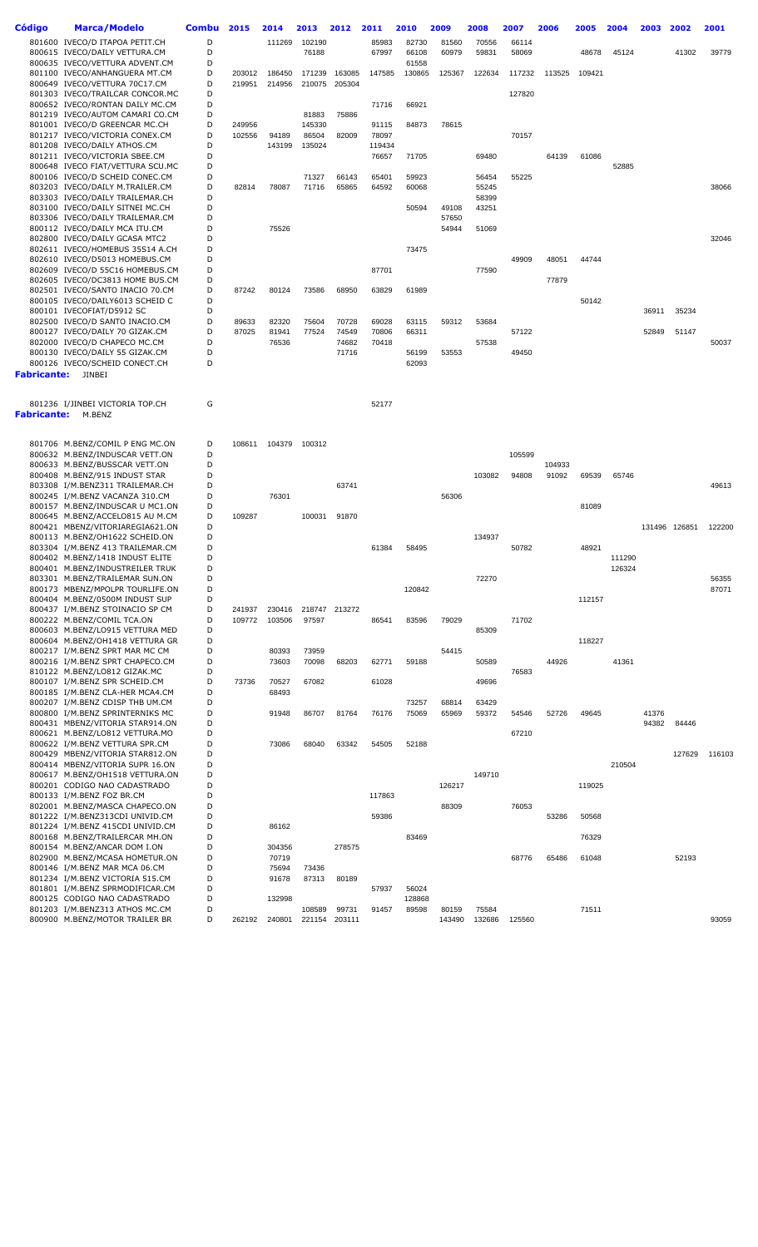| Código      | <b>Marca/Modelo</b>                                                | <b>Combu</b> | 2015   | 2014   | 2013   | 2012          | 2011   | 2010            | 2009   | 2008           | 2007   | 2006            | 2005   | 2004   | 2003  | 2002          | 2001   |
|-------------|--------------------------------------------------------------------|--------------|--------|--------|--------|---------------|--------|-----------------|--------|----------------|--------|-----------------|--------|--------|-------|---------------|--------|
|             | 801600 IVECO/D ITAPOA PETIT.CH                                     | D            |        | 111269 | 102190 |               | 85983  | 82730           | 81560  | 70556          | 66114  |                 |        |        |       |               |        |
|             | 800615 IVECO/DAILY VETTURA.CM                                      | D            |        |        | 76188  |               | 67997  | 66108           | 60979  | 59831          | 58069  |                 | 48678  | 45124  |       | 41302         | 39779  |
|             | 800635 IVECO/VETTURA ADVENT.CM                                     | D            |        |        |        |               |        | 61558           |        |                |        |                 |        |        |       |               |        |
|             | 801100 IVECO/ANHANGUERA MT.CM                                      | D            | 203012 | 186450 | 171239 | 163085        | 147585 | 130865          | 125367 | 122634         | 117232 | 113525          | 109421 |        |       |               |        |
|             | 800649 IVECO/VETTURA 70C17.CM<br>801303 IVECO/TRAILCAR CONCOR.MC   | D<br>D       | 219951 | 214956 | 210075 | 205304        |        |                 |        |                | 127820 |                 |        |        |       |               |        |
|             | 800652 IVECO/RONTAN DAILY MC.CM                                    | D            |        |        |        |               | 71716  | 66921           |        |                |        |                 |        |        |       |               |        |
|             | 801219 IVECO/AUTOM CAMARI CO.CM                                    | D            |        |        | 81883  | 75886         |        |                 |        |                |        |                 |        |        |       |               |        |
|             | 801001 IVECO/D GREENCAR MC.CH                                      | D            | 249956 |        | 145330 |               | 91115  | 84873           | 78615  |                |        |                 |        |        |       |               |        |
|             | 801217 IVECO/VICTORIA CONEX.CM                                     | D            | 102556 | 94189  | 86504  | 82009         | 78097  |                 |        |                | 70157  |                 |        |        |       |               |        |
|             | 801208 IVECO/DAILY ATHOS.CM                                        | D            |        | 143199 | 135024 |               | 119434 |                 |        |                |        |                 |        |        |       |               |        |
|             | 801211 IVECO/VICTORIA SBEE.CM                                      | D            |        |        |        |               | 76657  | 71705           |        | 69480          |        | 64139           | 61086  |        |       |               |        |
|             | 800648 IVECO FIAT/VETTURA SCU.MC                                   | D            |        |        |        |               |        |                 |        |                |        |                 |        | 52885  |       |               |        |
|             | 800106 IVECO/D SCHEID CONEC.CM<br>803203 IVECO/DAILY M.TRAILER.CM  | D<br>D       |        |        | 71327  | 66143         | 65401  | 59923           |        | 56454          | 55225  |                 |        |        |       |               | 38066  |
|             | 803303 IVECO/DAILY TRAILEMAR.CH                                    | D            | 82814  | 78087  | 71716  | 65865         | 64592  | 60068           |        | 55245<br>58399 |        |                 |        |        |       |               |        |
|             | 803100 IVECO/DAILY SITNEI MC.CH                                    | D            |        |        |        |               |        | 50594           | 49108  | 43251          |        |                 |        |        |       |               |        |
|             | 803306 IVECO/DAILY TRAILEMAR.CM                                    | D            |        |        |        |               |        |                 | 57650  |                |        |                 |        |        |       |               |        |
|             | 800112 IVECO/DAILY MCA ITU.CM                                      | D            |        | 75526  |        |               |        |                 | 54944  | 51069          |        |                 |        |        |       |               |        |
|             | 802800 IVECO/DAILY GCASA MTC2                                      | D            |        |        |        |               |        |                 |        |                |        |                 |        |        |       |               | 32046  |
|             | 802611 IVECO/HOMEBUS 35S14 A.CH                                    | D            |        |        |        |               |        | 73475           |        |                |        |                 |        |        |       |               |        |
|             | 802610 IVECO/D5013 HOMEBUS.CM                                      | D            |        |        |        |               |        |                 |        |                | 49909  | 48051           | 44744  |        |       |               |        |
|             | 802609 IVECO/D 55C16 HOMEBUS.CM                                    | D<br>D       |        |        |        |               | 87701  |                 |        | 77590          |        |                 |        |        |       |               |        |
|             | 802605 IVECO/DC3813 HOME BUS.CM<br>802501 IVECO/SANTO INACIO 70.CM | D            | 87242  | 80124  | 73586  | 68950         | 63829  | 61989           |        |                |        | 77879           |        |        |       |               |        |
|             | 800105 IVECO/DAILY6013 SCHEID C                                    | D            |        |        |        |               |        |                 |        |                |        |                 | 50142  |        |       |               |        |
|             | 800101 IVECOFIAT/D5912 SC                                          | D            |        |        |        |               |        |                 |        |                |        |                 |        |        | 36911 | 35234         |        |
|             | 802500 IVECO/D SANTO INACIO.CM                                     | D            | 89633  | 82320  | 75604  | 70728         | 69028  | 63115           | 59312  | 53684          |        |                 |        |        |       |               |        |
|             | 800127 IVECO/DAILY 70 GIZAK.CM                                     | D            | 87025  | 81941  | 77524  | 74549         | 70806  | 66311           |        |                | 57122  |                 |        |        | 52849 | 51147         |        |
|             | 802000 IVECO/D CHAPECO MC.CM                                       | D            |        | 76536  |        | 74682         | 70418  |                 |        | 57538          |        |                 |        |        |       |               | 50037  |
|             | 800130 IVECO/DAILY 55 GIZAK.CM                                     | D            |        |        |        | 71716         |        | 56199           | 53553  |                | 49450  |                 |        |        |       |               |        |
|             | 800126 IVECO/SCHEID CONECT.CH                                      | D            |        |        |        |               |        | 62093           |        |                |        |                 |        |        |       |               |        |
|             | <b>Fabricante:</b> JINBEI                                          |              |        |        |        |               |        |                 |        |                |        |                 |        |        |       |               |        |
|             |                                                                    |              |        |        |        |               |        |                 |        |                |        |                 |        |        |       |               |        |
|             | 801236 I/JINBEI VICTORIA TOP.CH                                    | G            |        |        |        |               | 52177  |                 |        |                |        |                 |        |        |       |               |        |
| Fabricante: | M.BENZ                                                             |              |        |        |        |               |        |                 |        |                |        |                 |        |        |       |               |        |
|             |                                                                    |              |        |        |        |               |        |                 |        |                |        |                 |        |        |       |               |        |
|             |                                                                    |              |        |        |        |               |        |                 |        |                |        |                 |        |        |       |               |        |
|             | 801706 M.BENZ/COMIL P ENG MC.ON                                    | D            | 108611 | 104379 | 100312 |               |        |                 |        |                |        |                 |        |        |       |               |        |
|             | 800632 M.BENZ/INDUSCAR VETT.ON                                     | D<br>D       |        |        |        |               |        |                 |        |                | 105599 |                 |        |        |       |               |        |
|             | 800633 M.BENZ/BUSSCAR VETT.ON<br>800408 M.BENZ/915 INDUST STAR     | D            |        |        |        |               |        |                 |        | 103082         | 94808  | 104933<br>91092 | 69539  | 65746  |       |               |        |
|             | 803308 I/M.BENZ311 TRAILEMAR.CH                                    | D            |        |        |        | 63741         |        |                 |        |                |        |                 |        |        |       |               | 49613  |
|             | 800245 I/M.BENZ VACANZA 310.CM                                     | D            |        | 76301  |        |               |        |                 | 56306  |                |        |                 |        |        |       |               |        |
|             | 800157 M.BENZ/INDUSCAR U MC1.ON                                    | D            |        |        |        |               |        |                 |        |                |        |                 | 81089  |        |       |               |        |
|             | 800645 M.BENZ/ACCELO815 AU M.CM                                    | D            | 109287 |        | 100031 | 91870         |        |                 |        |                |        |                 |        |        |       |               |        |
|             | 800421 MBENZ/VITORIAREGIA621.ON                                    | D            |        |        |        |               |        |                 |        |                |        |                 |        |        |       | 131496 126851 | 122200 |
|             | 800113 M.BENZ/OH1622 SCHEID.ON                                     | D            |        |        |        |               |        |                 |        | 134937         |        |                 |        |        |       |               |        |
|             | 803304 I/M.BENZ 413 TRAILEMAR.CM                                   | D            |        |        |        |               | 61384  | 58495           |        |                | 50782  |                 | 48921  |        |       |               |        |
|             | 800402 M.BENZ/1418 INDUST ELITE                                    | D            |        |        |        |               |        |                 |        |                |        |                 |        | 111290 |       |               |        |
|             | 800401 M.BENZ/INDUSTREILER TRUK                                    | D<br>D       |        |        |        |               |        |                 |        |                |        |                 |        | 126324 |       |               | 56355  |
|             | 803301 M.BENZ/TRAILEMAR SUN.ON<br>800173 MBENZ/MPOLPR TOURLIFE.ON  | D            |        |        |        |               |        | 120842          |        | 72270          |        |                 |        |        |       |               | 87071  |
|             | 800404 M.BENZ/0500M INDUST SUP                                     | D            |        |        |        |               |        |                 |        |                |        |                 | 112157 |        |       |               |        |
|             | 800437 I/M.BENZ STOINACIO SP CM                                    | D            | 241937 | 230416 |        | 218747 213272 |        |                 |        |                |        |                 |        |        |       |               |        |
|             | 800222 M.BENZ/COMIL TCA.ON                                         | D            | 109772 | 103506 | 97597  |               | 86541  | 83596           | 79029  |                | 71702  |                 |        |        |       |               |        |
|             | 800603 M.BENZ/LO915 VETTURA MED                                    | D            |        |        |        |               |        |                 |        | 85309          |        |                 |        |        |       |               |        |
|             | 800604 M.BENZ/OH1418 VETTURA GR                                    | D            |        |        |        |               |        |                 |        |                |        |                 | 118227 |        |       |               |        |
|             | 800217 I/M.BENZ SPRT MAR MC CM                                     | D            |        | 80393  | 73959  |               |        |                 | 54415  |                |        |                 |        |        |       |               |        |
|             | 800216 I/M.BENZ SPRT CHAPECO.CM                                    | D<br>D       |        | 73603  | 70098  | 68203         | 62771  | 59188           |        | 50589          |        | 44926           |        | 41361  |       |               |        |
|             | 810122 M.BENZ/LO812 GIZAK.MC<br>800107 I/M.BENZ SPR SCHEID.CM      | D            | 73736  | 70527  | 67082  |               | 61028  |                 |        | 49696          | 76583  |                 |        |        |       |               |        |
|             | 800185 I/M.BENZ CLA-HER MCA4.CM                                    | D            |        | 68493  |        |               |        |                 |        |                |        |                 |        |        |       |               |        |
|             | 800207 I/M.BENZ CDISP THB UM.CM                                    | D            |        |        |        |               |        | 73257           | 68814  | 63429          |        |                 |        |        |       |               |        |
|             | 800800 I/M.BENZ SPRINTERNIKS MC                                    | D            |        | 91948  | 86707  | 81764         | 76176  | 75069           | 65969  | 59372          | 54546  | 52726           | 49645  |        | 41376 |               |        |
|             | 800431 MBENZ/VITORIA STAR914.ON                                    | D            |        |        |        |               |        |                 |        |                |        |                 |        |        | 94382 | 84446         |        |
|             | 800621 M.BENZ/LO812 VETTURA.MO                                     | D            |        |        |        |               |        |                 |        |                | 67210  |                 |        |        |       |               |        |
|             | 800622 I/M.BENZ VETTURA SPR.CM                                     | D            |        | 73086  | 68040  | 63342         | 54505  | 52188           |        |                |        |                 |        |        |       |               |        |
|             | 800429 MBENZ/VITORIA STAR812.ON                                    | D            |        |        |        |               |        |                 |        |                |        |                 |        |        |       | 127629        | 116103 |
|             | 800414 MBENZ/VITORIA SUPR 16.ON                                    | D            |        |        |        |               |        |                 |        |                |        |                 |        | 210504 |       |               |        |
|             | 800617 M.BENZ/OH1518 VETTURA.ON                                    | D<br>D       |        |        |        |               |        |                 |        | 149710         |        |                 | 119025 |        |       |               |        |
|             | 800201 CODIGO NAO CADASTRADO<br>800133 I/M.BENZ FOZ BR.CM          | D            |        |        |        |               | 117863 |                 | 126217 |                |        |                 |        |        |       |               |        |
|             | 802001 M.BENZ/MASCA CHAPECO.ON                                     | D            |        |        |        |               |        |                 | 88309  |                | 76053  |                 |        |        |       |               |        |
|             | 801222 I/M.BENZ313CDI UNIVID.CM                                    | D            |        |        |        |               | 59386  |                 |        |                |        | 53286           | 50568  |        |       |               |        |
|             | 801224 I/M.BENZ 415CDI UNIVID.CM                                   | D            |        | 86162  |        |               |        |                 |        |                |        |                 |        |        |       |               |        |
|             | 800168 M.BENZ/TRAILERCAR MH.ON                                     | D            |        |        |        |               |        | 83469           |        |                |        |                 | 76329  |        |       |               |        |
|             | 800154 M.BENZ/ANCAR DOM I.ON                                       | D            |        | 304356 |        | 278575        |        |                 |        |                |        |                 |        |        |       |               |        |
|             | 802900 M.BENZ/MCASA HOMETUR.ON                                     | D            |        | 70719  |        |               |        |                 |        |                | 68776  | 65486           | 61048  |        |       | 52193         |        |
|             | 800146 I/M.BENZ MAR MCA 06.CM                                      | D            |        | 75694  | 73436  |               |        |                 |        |                |        |                 |        |        |       |               |        |
|             | 801234 I/M.BENZ VICTORIA 515.CM                                    | D<br>D       |        | 91678  | 87313  | 80189         |        |                 |        |                |        |                 |        |        |       |               |        |
|             | 801801 I/M.BENZ SPRMODIFICAR.CM<br>800125 CODIGO NAO CADASTRADO    | D            |        | 132998 |        |               | 57937  | 56024<br>128868 |        |                |        |                 |        |        |       |               |        |
|             | 801203 I/M.BENZ313 ATHOS MC.CM                                     | D            |        |        | 108589 | 99731         | 91457  | 89598           | 80159  | 75584          |        |                 | 71511  |        |       |               |        |
|             | 800900 M.BENZ/MOTOR TRAILER BR                                     | D            | 262192 | 240801 |        | 221154 203111 |        |                 | 143490 | 132686         | 125560 |                 |        |        |       |               | 93059  |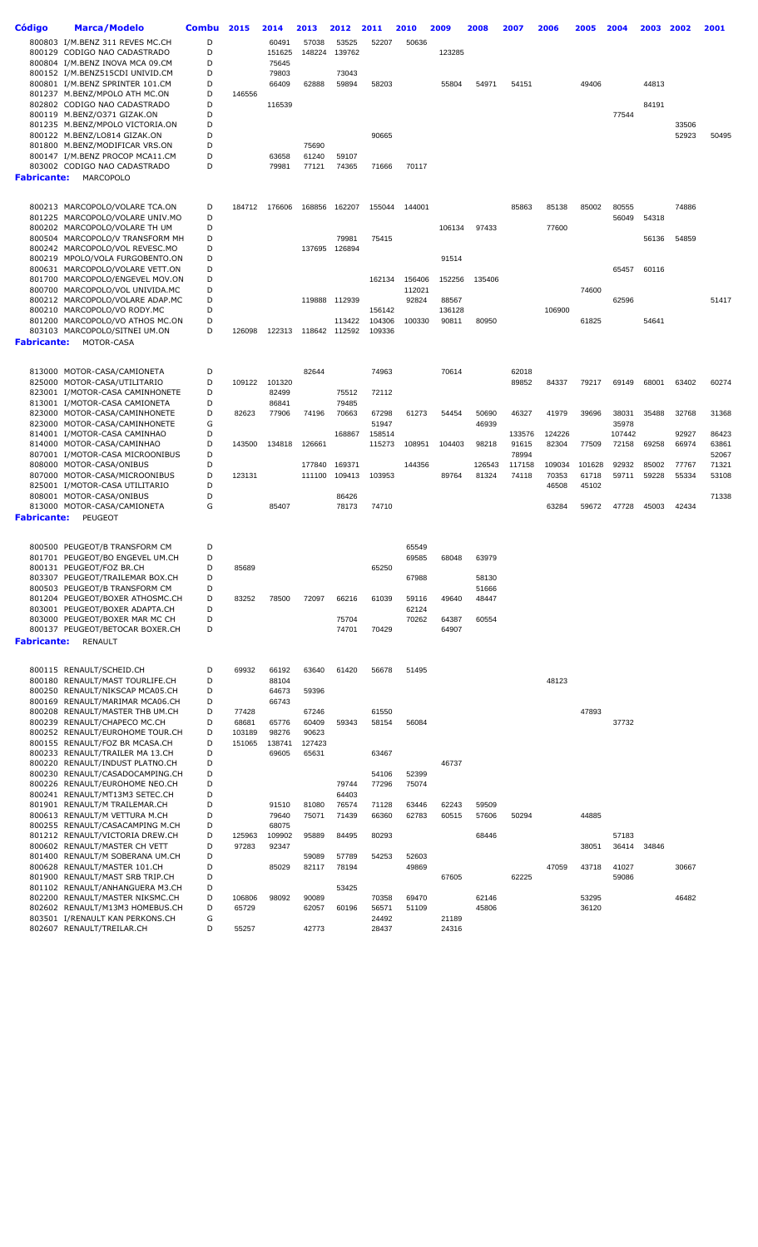| Código             | <b>Marca/Modelo</b>                                                | Combu  | 2015            | 2014            | 2013            | 2012            | 2011           | 2010             | 2009   | 2008           | 2007           | 2006   | 2005           | 2004   | 2003  | 2002  | 2001  |
|--------------------|--------------------------------------------------------------------|--------|-----------------|-----------------|-----------------|-----------------|----------------|------------------|--------|----------------|----------------|--------|----------------|--------|-------|-------|-------|
|                    | 800803 I/M.BENZ 311 REVES MC.CH                                    | D      |                 |                 |                 |                 |                |                  |        |                |                |        |                |        |       |       |       |
|                    | 800129 CODIGO NAO CADASTRADO                                       | D      |                 | 60491<br>151625 | 57038<br>148224 | 53525<br>139762 | 52207          | 50636            | 123285 |                |                |        |                |        |       |       |       |
|                    | 800804 I/M.BENZ INOVA MCA 09.CM                                    | D      |                 | 75645           |                 |                 |                |                  |        |                |                |        |                |        |       |       |       |
|                    | 800152 I/M.BENZ515CDI UNIVID.CM                                    | D      |                 | 79803           |                 | 73043           |                |                  |        |                |                |        |                |        |       |       |       |
|                    | 800801 I/M.BENZ SPRINTER 101.CM                                    | D      |                 | 66409           | 62888           | 59894           | 58203          |                  | 55804  | 54971          | 54151          |        | 49406          |        | 44813 |       |       |
|                    | 801237 M.BENZ/MPOLO ATH MC.ON                                      | D      | 146556          |                 |                 |                 |                |                  |        |                |                |        |                |        |       |       |       |
|                    | 802802 CODIGO NAO CADASTRADO                                       | D      |                 | 116539          |                 |                 |                |                  |        |                |                |        |                |        | 84191 |       |       |
|                    | 800119 M.BENZ/O371 GIZAK.ON                                        | D      |                 |                 |                 |                 |                |                  |        |                |                |        |                | 77544  |       |       |       |
|                    | 801235 M.BENZ/MPOLO VICTORIA.ON                                    | D      |                 |                 |                 |                 |                |                  |        |                |                |        |                |        |       | 33506 |       |
|                    | 800122 M.BENZ/LO814 GIZAK.ON                                       | D      |                 |                 |                 |                 | 90665          |                  |        |                |                |        |                |        |       | 52923 | 50495 |
|                    | 801800 M.BENZ/MODIFICAR VRS.ON                                     | D      |                 |                 | 75690           |                 |                |                  |        |                |                |        |                |        |       |       |       |
|                    | 800147 I/M.BENZ PROCOP MCA11.CM                                    | D      |                 | 63658           | 61240           | 59107           |                |                  |        |                |                |        |                |        |       |       |       |
|                    | 803002 CODIGO NAO CADASTRADO                                       | D      |                 | 79981           | 77121           | 74365           | 71666          | 70117            |        |                |                |        |                |        |       |       |       |
| Fabricante:        | MARCOPOLO                                                          |        |                 |                 |                 |                 |                |                  |        |                |                |        |                |        |       |       |       |
|                    |                                                                    |        |                 |                 |                 |                 |                |                  |        |                |                |        |                |        |       |       |       |
|                    | 800213 MARCOPOLO/VOLARE TCA.ON                                     | D      | 184712          | 176606          | 168856          | 162207          | 155044         | 144001           |        |                | 85863          | 85138  | 85002          | 80555  |       | 74886 |       |
|                    | 801225 MARCOPOLO/VOLARE UNIV.MO                                    | D      |                 |                 |                 |                 |                |                  |        |                |                |        |                | 56049  | 54318 |       |       |
|                    | 800202 MARCOPOLO/VOLARE TH UM                                      | D      |                 |                 |                 |                 |                |                  | 106134 | 97433          |                | 77600  |                |        |       |       |       |
|                    | 800504 MARCOPOLO/V TRANSFORM MH                                    | D      |                 |                 |                 | 79981           | 75415          |                  |        |                |                |        |                |        | 56136 | 54859 |       |
|                    | 800242 MARCOPOLO/VOL REVESC.MO                                     | D      |                 |                 | 137695          | 126894          |                |                  |        |                |                |        |                |        |       |       |       |
|                    | 800219 MPOLO/VOLA FURGOBENTO.ON                                    | D      |                 |                 |                 |                 |                |                  | 91514  |                |                |        |                |        |       |       |       |
|                    | 800631 MARCOPOLO/VOLARE VETT.ON                                    | D      |                 |                 |                 |                 |                |                  |        |                |                |        |                | 65457  | 60116 |       |       |
|                    | 801700 MARCOPOLO/ENGEVEL MOV.ON<br>800700 MARCOPOLO/VOL UNIVIDA.MC | D<br>D |                 |                 |                 |                 | 162134         | 156406<br>112021 | 152256 | 135406         |                |        | 74600          |        |       |       |       |
|                    | 800212 MARCOPOLO/VOLARE ADAP.MC                                    | D      |                 |                 |                 | 119888 112939   |                | 92824            | 88567  |                |                |        |                | 62596  |       |       | 51417 |
|                    | 800210 MARCOPOLO/VO RODY.MC                                        | D      |                 |                 |                 |                 | 156142         |                  | 136128 |                |                | 106900 |                |        |       |       |       |
|                    | 801200 MARCOPOLO/VO ATHOS MC.ON                                    | D      |                 |                 |                 | 113422          | 104306         | 100330           | 90811  | 80950          |                |        | 61825          |        | 54641 |       |       |
|                    | 803103 MARCOPOLO/SITNEI UM.ON                                      | D      | 126098          | 122313          |                 | 118642 112592   | 109336         |                  |        |                |                |        |                |        |       |       |       |
| <b>Fabricante:</b> | MOTOR-CASA                                                         |        |                 |                 |                 |                 |                |                  |        |                |                |        |                |        |       |       |       |
|                    |                                                                    |        |                 |                 |                 |                 |                |                  |        |                |                |        |                |        |       |       |       |
|                    |                                                                    |        |                 |                 |                 |                 |                |                  |        |                |                |        |                |        |       |       |       |
|                    | 813000 MOTOR-CASA/CAMIONETA<br>825000 MOTOR-CASA/UTILITARIO        | D<br>D |                 | 101320          | 82644           |                 | 74963          |                  | 70614  |                | 62018<br>89852 | 84337  | 79217          | 69149  | 68001 | 63402 | 60274 |
|                    | 823001 I/MOTOR-CASA CAMINHONETE                                    | D      | 109122          | 82499           |                 | 75512           | 72112          |                  |        |                |                |        |                |        |       |       |       |
|                    | 813001 I/MOTOR-CASA CAMIONETA                                      | D      |                 | 86841           |                 | 79485           |                |                  |        |                |                |        |                |        |       |       |       |
|                    | 823000 MOTOR-CASA/CAMINHONETE                                      | D      | 82623           | 77906           | 74196           | 70663           | 67298          | 61273            | 54454  | 50690          | 46327          | 41979  | 39696          | 38031  | 35488 | 32768 | 31368 |
|                    | 823000 MOTOR-CASA/CAMINHONETE                                      | G      |                 |                 |                 |                 | 51947          |                  |        | 46939          |                |        |                | 35978  |       |       |       |
|                    | 814001 I/MOTOR-CASA CAMINHAO                                       | D      |                 |                 |                 | 168867          | 158514         |                  |        |                | 133576         | 124226 |                | 107442 |       | 92927 | 86423 |
|                    | 814000 MOTOR-CASA/CAMINHAO                                         | D      | 143500          | 134818          | 126661          |                 | 115273         | 108951           | 104403 | 98218          | 91615          | 82304  | 77509          | 72158  | 69258 | 66974 | 63861 |
|                    | 807001 I/MOTOR-CASA MICROONIBUS                                    | D      |                 |                 |                 |                 |                |                  |        |                | 78994          |        |                |        |       |       | 52067 |
|                    | 808000 MOTOR-CASA/ONIBUS                                           | D      |                 |                 | 177840          | 169371          |                | 144356           |        | 126543         | 117158         | 109034 | 101628         | 92932  | 85002 | 77767 | 71321 |
|                    | 807000 MOTOR-CASA/MICROONIBUS                                      | D      | 123131          |                 | 111100          | 109413          | 103953         |                  | 89764  | 81324          | 74118          | 70353  | 61718          | 59711  | 59228 | 55334 | 53108 |
|                    | 825001 I/MOTOR-CASA UTILITARIO                                     | D      |                 |                 |                 |                 |                |                  |        |                |                | 46508  | 45102          |        |       |       |       |
|                    | 808001 MOTOR-CASA/ONIBUS                                           | D<br>G |                 |                 |                 | 86426<br>78173  | 74710          |                  |        |                |                | 63284  |                |        |       | 42434 | 71338 |
| Fabricante:        | 813000 MOTOR-CASA/CAMIONETA<br>PEUGEOT                             |        |                 | 85407           |                 |                 |                |                  |        |                |                |        | 59672          | 47728  | 45003 |       |       |
|                    |                                                                    |        |                 |                 |                 |                 |                |                  |        |                |                |        |                |        |       |       |       |
|                    |                                                                    |        |                 |                 |                 |                 |                |                  |        |                |                |        |                |        |       |       |       |
|                    | 800500 PEUGEOT/B TRANSFORM CM                                      | D      |                 |                 |                 |                 |                | 65549            |        |                |                |        |                |        |       |       |       |
|                    | 801701 PEUGEOT/BO ENGEVEL UM.CH                                    | D      |                 |                 |                 |                 |                | 69585            | 68048  | 63979          |                |        |                |        |       |       |       |
|                    | 800131 PEUGEOT/FOZ BR.CH<br>803307 PEUGEOT/TRAILEMAR BOX.CH        | D      | 85689           |                 |                 |                 | 65250          |                  |        |                |                |        |                |        |       |       |       |
|                    | 800503 PEUGEOT/B TRANSFORM CM                                      | D<br>D |                 |                 |                 |                 |                | 67988            |        | 58130<br>51666 |                |        |                |        |       |       |       |
|                    | 801204 PEUGEOT/BOXER ATHOSMC.CH                                    | D      | 83252           | 78500           | 72097           | 66216           | 61039          | 59116            | 49640  | 48447          |                |        |                |        |       |       |       |
|                    | 803001 PEUGEOT/BOXER ADAPTA.CH                                     | D      |                 |                 |                 |                 |                | 62124            |        |                |                |        |                |        |       |       |       |
|                    | 803000 PEUGEOT/BOXER MAR MC CH                                     | D      |                 |                 |                 | 75704           |                | 70262            | 64387  | 60554          |                |        |                |        |       |       |       |
|                    | 800137 PEUGEOT/BETOCAR BOXER.CH                                    | D      |                 |                 |                 | 74701           | 70429          |                  | 64907  |                |                |        |                |        |       |       |       |
| <b>Fabricante:</b> | <b>RENAULT</b>                                                     |        |                 |                 |                 |                 |                |                  |        |                |                |        |                |        |       |       |       |
|                    |                                                                    |        |                 |                 |                 |                 |                |                  |        |                |                |        |                |        |       |       |       |
|                    | 800115 RENAULT/SCHEID.CH                                           | D      | 69932           | 66192           | 63640           | 61420           | 56678          | 51495            |        |                |                |        |                |        |       |       |       |
|                    | 800180 RENAULT/MAST TOURLIFE.CH                                    | D      |                 | 88104           |                 |                 |                |                  |        |                |                | 48123  |                |        |       |       |       |
|                    | 800250 RENAULT/NIKSCAP MCA05.CH                                    | D      |                 | 64673           | 59396           |                 |                |                  |        |                |                |        |                |        |       |       |       |
|                    | 800169 RENAULT/MARIMAR MCA06.CH                                    | D      |                 | 66743           |                 |                 |                |                  |        |                |                |        |                |        |       |       |       |
|                    | 800208 RENAULT/MASTER THB UM.CH                                    | D      | 77428           |                 | 67246           |                 | 61550          |                  |        |                |                |        | 47893          |        |       |       |       |
|                    | 800239 RENAULT/CHAPECO MC.CH                                       | D      | 68681           | 65776           | 60409           | 59343           | 58154          | 56084            |        |                |                |        |                | 37732  |       |       |       |
|                    | 800252 RENAULT/EUROHOME TOUR.CH                                    | D      | 103189          | 98276           | 90623           |                 |                |                  |        |                |                |        |                |        |       |       |       |
|                    | 800155 RENAULT/FOZ BR MCASA.CH                                     | D      | 151065          | 138741          | 127423          |                 |                |                  |        |                |                |        |                |        |       |       |       |
|                    | 800233 RENAULT/TRAILER MA 13.CH                                    | D      |                 | 69605           | 65631           |                 | 63467          |                  |        |                |                |        |                |        |       |       |       |
|                    | 800220 RENAULT/INDUST PLATNO.CH                                    | D      |                 |                 |                 |                 |                |                  | 46737  |                |                |        |                |        |       |       |       |
|                    | 800230 RENAULT/CASADOCAMPING.CH<br>800226 RENAULT/EUROHOME NEO.CH  | D<br>D |                 |                 |                 | 79744           | 54106          | 52399<br>75074   |        |                |                |        |                |        |       |       |       |
|                    | 800241 RENAULT/MT13M3 SETEC.CH                                     | D      |                 |                 |                 | 64403           | 77296          |                  |        |                |                |        |                |        |       |       |       |
|                    | 801901 RENAULT/M TRAILEMAR.CH                                      | D      |                 | 91510           | 81080           | 76574           | 71128          | 63446            | 62243  | 59509          |                |        |                |        |       |       |       |
|                    | 800613 RENAULT/M VETTURA M.CH                                      | D      |                 | 79640           | 75071           | 71439           | 66360          | 62783            | 60515  | 57606          | 50294          |        | 44885          |        |       |       |       |
|                    | 800255 RENAULT/CASACAMPING M.CH                                    | D      |                 | 68075           |                 |                 |                |                  |        |                |                |        |                |        |       |       |       |
|                    | 801212 RENAULT/VICTORIA DREW.CH                                    | D      | 125963          | 109902          | 95889           | 84495           | 80293          |                  |        | 68446          |                |        |                | 57183  |       |       |       |
|                    | 800602 RENAULT/MASTER CH VETT                                      | D      | 97283           | 92347           |                 |                 |                |                  |        |                |                |        | 38051          | 36414  | 34846 |       |       |
|                    | 801400 RENAULT/M SOBERANA UM.CH                                    | D      |                 |                 | 59089           | 57789           | 54253          | 52603            |        |                |                |        |                |        |       |       |       |
|                    | 800628 RENAULT/MASTER 101.CH                                       | D      |                 | 85029           | 82117           | 78194           |                | 49869            |        |                |                | 47059  | 43718          | 41027  |       | 30667 |       |
|                    | 801900 RENAULT/MAST SRB TRIP.CH                                    | D      |                 |                 |                 |                 |                |                  | 67605  |                | 62225          |        |                | 59086  |       |       |       |
|                    | 801102 RENAULT/ANHANGUERA M3.CH                                    | D      |                 |                 |                 | 53425           |                |                  |        |                |                |        |                |        |       |       |       |
|                    | 802200 RENAULT/MASTER NIKSMC.CH<br>802602 RENAULT/M13M3 HOMEBUS.CH | D<br>D | 106806<br>65729 | 98092           | 90089<br>62057  | 60196           | 70358<br>56571 | 69470<br>51109   |        | 62146<br>45806 |                |        | 53295<br>36120 |        |       | 46482 |       |
|                    | 803501 I/RENAULT KAN PERKONS.CH                                    | G      |                 |                 |                 |                 | 24492          |                  | 21189  |                |                |        |                |        |       |       |       |
|                    | 802607 RENAULT/TREILAR.CH                                          | D      | 55257           |                 | 42773           |                 | 28437          |                  | 24316  |                |                |        |                |        |       |       |       |
|                    |                                                                    |        |                 |                 |                 |                 |                |                  |        |                |                |        |                |        |       |       |       |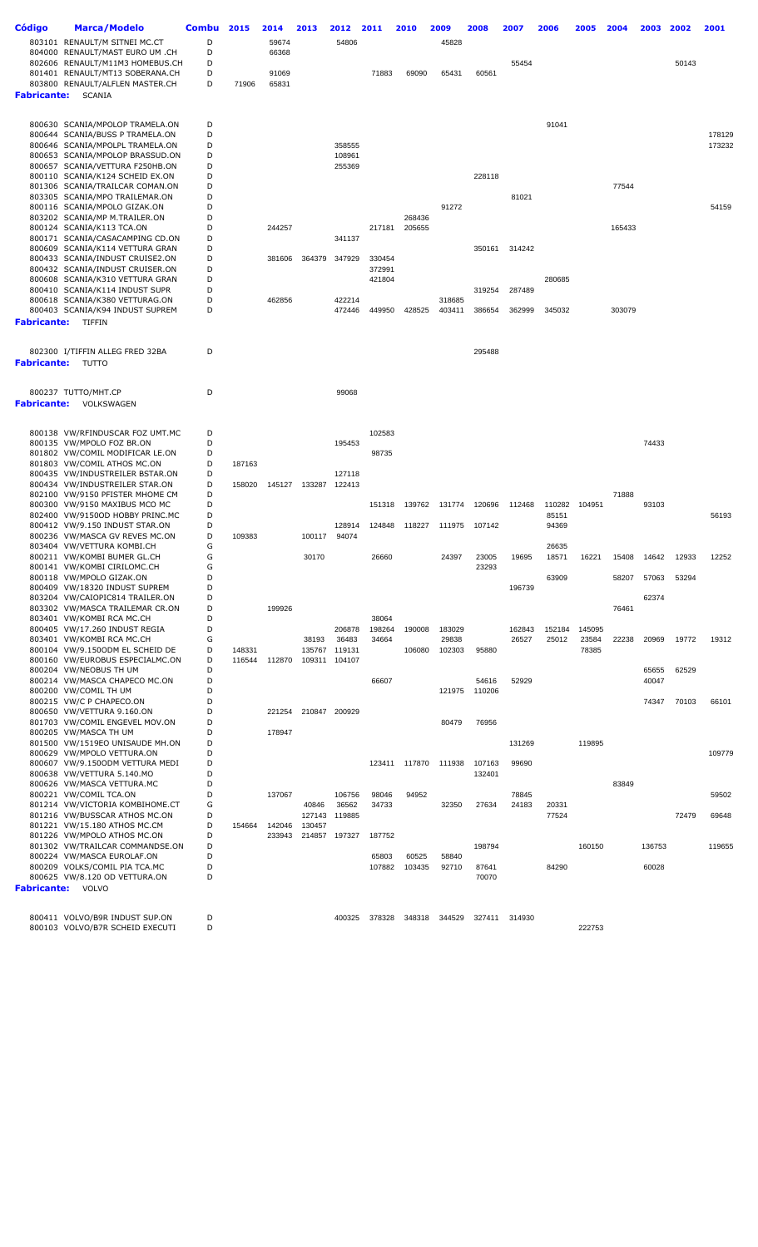| Código                   | Marca/Modelo<br>803101 RENAULT/M SITNEI MC.CT                                       | <b>Combu</b><br>D | 2015   | 2014<br>59674  | 2013   | 2012<br>54806    | 2011             | 2010   | 2009<br>45828   | 2008   | 2007            | 2006            | 2005            | 2004   | 2003           | 2002  | 2001   |
|--------------------------|-------------------------------------------------------------------------------------|-------------------|--------|----------------|--------|------------------|------------------|--------|-----------------|--------|-----------------|-----------------|-----------------|--------|----------------|-------|--------|
|                          | 804000 RENAULT/MAST EURO UM .CH<br>802606 RENAULT/M11M3 HOMEBUS.CH                  | D<br>D            |        | 66368          |        |                  |                  |        |                 |        | 55454           |                 |                 |        |                | 50143 |        |
| <b>Fabricante:</b>       | 801401 RENAULT/MT13 SOBERANA.CH<br>803800 RENAULT/ALFLEN MASTER.CH<br><b>SCANIA</b> | D<br>D            | 71906  | 91069<br>65831 |        |                  | 71883            | 69090  | 65431           | 60561  |                 |                 |                 |        |                |       |        |
|                          |                                                                                     |                   |        |                |        |                  |                  |        |                 |        |                 |                 |                 |        |                |       |        |
|                          | 800630 SCANIA/MPOLOP TRAMELA.ON                                                     | D                 |        |                |        |                  |                  |        |                 |        |                 | 91041           |                 |        |                |       |        |
|                          | 800644 SCANIA/BUSS P TRAMELA.ON                                                     | D                 |        |                |        |                  |                  |        |                 |        |                 |                 |                 |        |                |       | 178129 |
|                          | 800646 SCANIA/MPOLPL TRAMELA.ON<br>800653 SCANIA/MPOLOP BRASSUD.ON                  | D<br>D            |        |                |        | 358555<br>108961 |                  |        |                 |        |                 |                 |                 |        |                |       | 173232 |
|                          | 800657 SCANIA/VETTURA F250HB.ON                                                     | D                 |        |                |        | 255369           |                  |        |                 |        |                 |                 |                 |        |                |       |        |
|                          | 800110 SCANIA/K124 SCHEID EX.ON                                                     | D                 |        |                |        |                  |                  |        |                 | 228118 |                 |                 |                 |        |                |       |        |
|                          | 801306 SCANIA/TRAILCAR COMAN.ON<br>803305 SCANIA/MPO TRAILEMAR.ON                   | D<br>D            |        |                |        |                  |                  |        |                 |        | 81021           |                 |                 | 77544  |                |       |        |
|                          | 800116 SCANIA/MPOLO GIZAK.ON                                                        | D                 |        |                |        |                  |                  |        | 91272           |        |                 |                 |                 |        |                |       | 54159  |
|                          | 803202 SCANIA/MP M.TRAILER.ON                                                       | D                 |        |                |        |                  |                  | 268436 |                 |        |                 |                 |                 |        |                |       |        |
|                          | 800124 SCANIA/K113 TCA.ON<br>800171 SCANIA/CASACAMPING CD.ON                        | D<br>D            |        | 244257         |        | 341137           | 217181           | 205655 |                 |        |                 |                 |                 | 165433 |                |       |        |
|                          | 800609 SCANIA/K114 VETTURA GRAN                                                     | D                 |        |                |        |                  |                  |        |                 | 350161 | 314242          |                 |                 |        |                |       |        |
|                          | 800433 SCANIA/INDUST CRUISE2.ON                                                     | D                 |        | 381606         | 364379 | 347929           | 330454           |        |                 |        |                 |                 |                 |        |                |       |        |
|                          | 800432 SCANIA/INDUST CRUISER.ON<br>800608 SCANIA/K310 VETTURA GRAN                  | D<br>D            |        |                |        |                  | 372991<br>421804 |        |                 |        |                 | 280685          |                 |        |                |       |        |
|                          | 800410 SCANIA/K114 INDUST SUPR                                                      | D                 |        |                |        |                  |                  |        |                 | 319254 | 287489          |                 |                 |        |                |       |        |
|                          | 800618 SCANIA/K380 VETTURAG.ON                                                      | D                 |        | 462856         |        | 422214           |                  |        | 318685          |        |                 |                 |                 |        |                |       |        |
|                          | 800403 SCANIA/K94 INDUST SUPREM                                                     | D                 |        |                |        | 472446           | 449950           | 428525 | 403411          | 386654 | 362999          | 345032          |                 | 303079 |                |       |        |
| Fabricante:              | TIFFIN                                                                              |                   |        |                |        |                  |                  |        |                 |        |                 |                 |                 |        |                |       |        |
|                          | 802300 I/TIFFIN ALLEG FRED 32BA                                                     | D                 |        |                |        |                  |                  |        |                 | 295488 |                 |                 |                 |        |                |       |        |
| <b>Fabricante:</b> TUTTO |                                                                                     |                   |        |                |        |                  |                  |        |                 |        |                 |                 |                 |        |                |       |        |
|                          | 800237 TUTTO/MHT.CP                                                                 | D                 |        |                |        | 99068            |                  |        |                 |        |                 |                 |                 |        |                |       |        |
| Fabricante:              | VOLKSWAGEN                                                                          |                   |        |                |        |                  |                  |        |                 |        |                 |                 |                 |        |                |       |        |
|                          | 800138 VW/RFINDUSCAR FOZ UMT.MC                                                     | D                 |        |                |        |                  | 102583           |        |                 |        |                 |                 |                 |        |                |       |        |
|                          | 800135 VW/MPOLO FOZ BR.ON                                                           | D                 |        |                |        | 195453           |                  |        |                 |        |                 |                 |                 |        | 74433          |       |        |
|                          | 801802 VW/COMIL MODIFICAR LE.ON                                                     | D                 |        |                |        |                  | 98735            |        |                 |        |                 |                 |                 |        |                |       |        |
|                          | 801803 VW/COMIL ATHOS MC.ON<br>800435 VW/INDUSTREILER BSTAR.ON                      | D<br>D            | 187163 |                |        | 127118           |                  |        |                 |        |                 |                 |                 |        |                |       |        |
|                          | 800434 VW/INDUSTREILER STAR.ON                                                      | D                 | 158020 | 145127         |        | 133287 122413    |                  |        |                 |        |                 |                 |                 |        |                |       |        |
|                          | 802100 VW/9150 PFISTER MHOME CM                                                     | D                 |        |                |        |                  |                  |        |                 |        |                 |                 |                 | 71888  |                |       |        |
|                          | 800300 VW/9150 MAXIBUS MCO MC<br>802400 VW/9150OD HOBBY PRINC.MC                    | D<br>D            |        |                |        |                  | 151318           | 139762 | 131774          | 120696 | 112468          | 110282<br>85151 | 104951          |        | 93103          |       | 56193  |
|                          | 800412 VW/9.150 INDUST STAR.ON                                                      | D                 |        |                |        | 128914           | 124848           | 118227 | 111975          | 107142 |                 | 94369           |                 |        |                |       |        |
|                          | 800236 VW/MASCA GV REVES MC.ON                                                      | D                 | 109383 |                | 100117 | 94074            |                  |        |                 |        |                 |                 |                 |        |                |       |        |
|                          | 803404 VW/VETTURA KOMBI.CH<br>800211 VW/KOMBI BUMER GL.CH                           | G<br>G            |        |                | 30170  |                  | 26660            |        | 24397           | 23005  | 19695           | 26635<br>18571  | 16221           | 15408  | 14642          | 12933 | 12252  |
|                          | 800141 VW/KOMBI CIRILOMC.CH                                                         | G                 |        |                |        |                  |                  |        |                 | 23293  |                 |                 |                 |        |                |       |        |
|                          | 800118 VW/MPOLO GIZAK.ON                                                            | D                 |        |                |        |                  |                  |        |                 |        |                 | 63909           |                 | 58207  | 57063          | 53294 |        |
|                          | 800409 VW/18320 INDUST SUPREM<br>803204 VW/CAIOPIC814 TRAILER.ON                    | D<br>D            |        |                |        |                  |                  |        |                 |        | 196739          |                 |                 |        | 62374          |       |        |
|                          | 803302 VW/MASCA TRAILEMAR CR.ON                                                     | D                 |        | 199926         |        |                  |                  |        |                 |        |                 |                 |                 | 76461  |                |       |        |
|                          | 803401 VW/KOMBI RCA MC.CH                                                           | D                 |        |                |        |                  | 38064            |        |                 |        |                 |                 |                 |        |                |       |        |
|                          | 800405 VW/17.260 INDUST REGIA<br>803401 VW/KOMBI RCA MC.CH                          | D<br>G            |        |                | 38193  | 206878<br>36483  | 198264<br>34664  | 190008 | 183029<br>29838 |        | 162843<br>26527 | 152184<br>25012 | 145095<br>23584 | 22238  | 20969          | 19772 | 19312  |
|                          | 800104 VW/9.150ODM EL SCHEID DE                                                     | D                 | 148331 |                | 135767 | 119131           |                  | 106080 | 102303          | 95880  |                 |                 | 78385           |        |                |       |        |
|                          | 800160 VW/EUROBUS ESPECIALMC.ON                                                     | D                 | 116544 | 112870         | 109311 | 104107           |                  |        |                 |        |                 |                 |                 |        |                |       |        |
|                          | 800204 VW/NEOBUS TH UM<br>800214 VW/MASCA CHAPECO MC.ON                             | D<br>D            |        |                |        |                  | 66607            |        |                 | 54616  | 52929           |                 |                 |        | 65655<br>40047 | 62529 |        |
|                          | 800200 VW/COMIL TH UM                                                               | D                 |        |                |        |                  |                  |        | 121975          | 110206 |                 |                 |                 |        |                |       |        |
|                          | 800215 VW/C P CHAPECO.ON                                                            | D                 |        |                |        |                  |                  |        |                 |        |                 |                 |                 |        | 74347          | 70103 | 66101  |
|                          | 800650 VW/VETTURA 9.160.ON<br>801703 VW/COMIL ENGEVEL MOV.ON                        | D<br>D            |        | 221254         | 210847 | 200929           |                  |        | 80479           | 76956  |                 |                 |                 |        |                |       |        |
|                          | 800205 VW/MASCA TH UM                                                               | D                 |        | 178947         |        |                  |                  |        |                 |        |                 |                 |                 |        |                |       |        |
|                          | 801500 VW/1519EO UNISAUDE MH.ON                                                     | D                 |        |                |        |                  |                  |        |                 |        | 131269          |                 | 119895          |        |                |       |        |
|                          | 800629 VW/MPOLO VETTURA.ON<br>800607 VW/9.1500DM VETTURA MEDI                       | D<br>D            |        |                |        |                  | 123411           | 117870 | 111938          | 107163 | 99690           |                 |                 |        |                |       | 109779 |
|                          | 800638 VW/VETTURA 5.140.MO                                                          | D                 |        |                |        |                  |                  |        |                 | 132401 |                 |                 |                 |        |                |       |        |
|                          | 800626 VW/MASCA VETTURA.MC                                                          | D                 |        |                |        |                  |                  |        |                 |        |                 |                 |                 | 83849  |                |       |        |
|                          | 800221 VW/COMIL TCA.ON<br>801214 VW/VICTORIA KOMBIHOME.CT                           | D<br>G            |        | 137067         | 40846  | 106756<br>36562  | 98046<br>34733   | 94952  | 32350           | 27634  | 78845<br>24183  | 20331           |                 |        |                |       | 59502  |
|                          | 801216 VW/BUSSCAR ATHOS MC.ON                                                       | D                 |        |                | 127143 | 119885           |                  |        |                 |        |                 | 77524           |                 |        |                | 72479 | 69648  |
|                          | 801221 VW/15.180 ATHOS MC.CM                                                        | D                 | 154664 | 142046         | 130457 |                  |                  |        |                 |        |                 |                 |                 |        |                |       |        |
|                          | 801226 VW/MPOLO ATHOS MC.ON<br>801302 VW/TRAILCAR COMMANDSE.ON                      | D<br>D            |        | 233943         |        | 214857 197327    | 187752           |        |                 | 198794 |                 |                 | 160150          |        | 136753         |       | 119655 |
|                          | 800224 VW/MASCA EUROLAF.ON                                                          | D                 |        |                |        |                  | 65803            | 60525  | 58840           |        |                 |                 |                 |        |                |       |        |
|                          | 800209 VOLKS/COMIL PIA TCA.MC                                                       | D                 |        |                |        |                  | 107882           | 103435 | 92710           | 87641  |                 | 84290           |                 |        | 60028          |       |        |
|                          | 800625 VW/8.120 OD VETTURA.ON<br><b>Fabricante:</b> VOLVO                           | D                 |        |                |        |                  |                  |        |                 | 70070  |                 |                 |                 |        |                |       |        |
|                          |                                                                                     |                   |        |                |        |                  |                  |        |                 |        |                 |                 |                 |        |                |       |        |
|                          | 800411 VOLVO/B9R INDUST SUP.ON<br>800103 VOLVO/B7R SCHEID EXECUTI                   | D<br>D            |        |                |        | 400325           | 378328           | 348318 | 344529          | 327411 | 314930          |                 | 222753          |        |                |       |        |